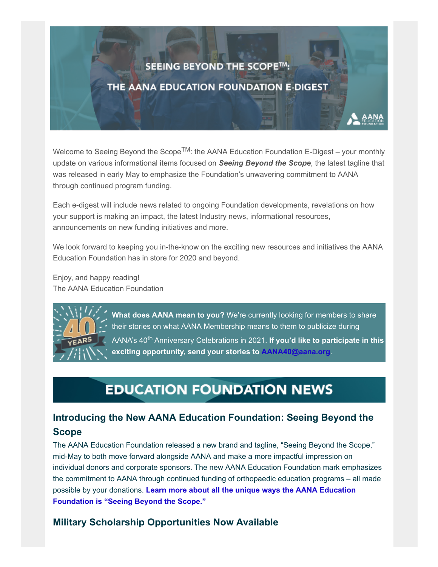### SEEING BEYOND THE SCOPE™:

### THE AANA EDUCATION FOUNDATION E-DIGEST

Welcome to Seeing Beyond the Scope<sup>TM</sup>: the AANA Education Foundation E-Digest – your monthly update on various informational items focused on *Seeing Beyond the Scope*, the latest tagline that was released in early May to emphasize the Foundation's unwavering commitment to AANA through continued program funding.

Each e-digest will include news related to ongoing Foundation developments, revelations on how your support is making an impact, the latest Industry news, informational resources, announcements on new funding initiatives and more.

We look forward to keeping you in-the-know on the exciting new resources and initiatives the AANA Education Foundation has in store for 2020 and beyond.

Enjoy, and happy reading! The AANA Education Foundation



**What does AANA mean to you?** We're currently looking for members to share their stories on what AANA Membership means to them to publicize during AANA's 40th Anniversary Celebrations in 2021. **If you'd like to participate in this exciting opportunity, send your stories to [AANA40@aana.org](mailto:AANA40@aana.org?subject=AANA%20Member%20Testimonial)**.

# **EDUCATION FOUNDATION NEWS**

### **Introducing the New AANA Education Foundation: Seeing Beyond the Scope**

The AANA Education Foundation released a new brand and tagline, "Seeing Beyond the Scope," mid-May to both move forward alongside AANA and make a more impactful impression on individual donors and corporate sponsors. The new AANA Education Foundation mark emphasizes the commitment to AANA through continued funding of orthopaedic education programs – all made possible by your donations. **[Learn more about all the unique ways the AANA Education](https://www.aana.org/AANAIMIS/Members/Education_Foundation/Education%20Foundation/Members/Education-Foundation/Overview.aspx?hkey=48b94973-4f47-449c-a0e6-fca2c279b483) Foundation is "Seeing Beyond the Scope."**

#### **Military Scholarship Opportunities Now Available**